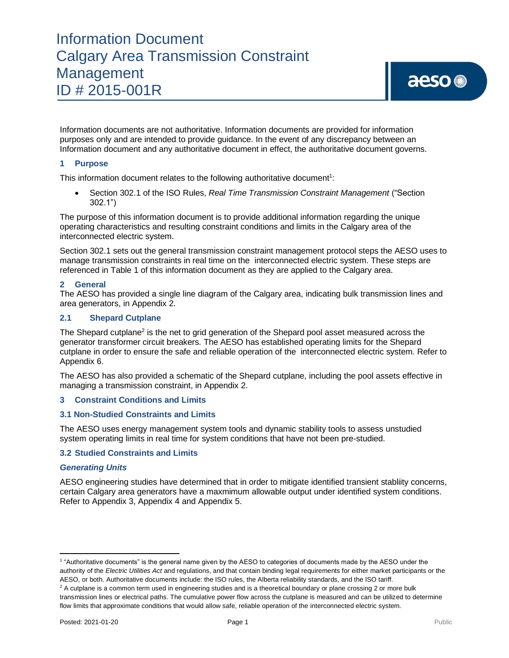Information documents are not authoritative. Information documents are provided for information purposes only and are intended to provide guidance. In the event of any discrepancy between an Information document and any authoritative document in effect, the authoritative document governs.

### **1 Purpose**

This information document relates to the following authoritative document<sup>1</sup>:

• Section 302.1 of the ISO Rules, *Real Time Transmission Constraint Management* ("Section 302.1")

The purpose of this information document is to provide additional information regarding the unique operating characteristics and resulting constraint conditions and limits in the Calgary area of the interconnected electric system.

Section 302.1 sets out the general transmission constraint management protocol steps the AESO uses to manage transmission constraints in real time on the interconnected electric system. These steps are referenced in Table 1 of this information document as they are applied to the Calgary area.

#### **2 General**

The AESO has provided a single line diagram of the Calgary area, indicating bulk transmission lines and area generators, in Appendix 2.

#### **2.1 Shepard Cutplane**

The Shepard cutplane<sup>2</sup> is the net to grid generation of the Shepard pool asset measured across the generator transformer circuit breakers. The AESO has established operating limits for the Shepard cutplane in order to ensure the safe and reliable operation of the interconnected electric system. Refer to Appendix 6.

The AESO has also provided a schematic of the Shepard cutplane, including the pool assets effective in managing a transmission constraint, in Appendix 2.

#### **3 Constraint Conditions and Limits**

#### **3.1 Non-Studied Constraints and Limits**

The AESO uses energy management system tools and dynamic stability tools to assess unstudied system operating limits in real time for system conditions that have not been pre-studied.

#### **3.2 Studied Constraints and Limits**

#### *Generating Units*

AESO engineering studies have determined that in order to mitigate identified transient stabliity concerns, certain Calgary area generators have a maxmimum allowable output under identified system conditions. Refer to Appendix 3, Appendix 4 and Appendix 5.

<sup>1</sup> "Authoritative documents" is the general name given by the AESO to categories of documents made by the AESO under the authority of the *Electric Utilities Act* and regulations, and that contain binding legal requirements for either market participants or the AESO, or both. Authoritative documents include: the ISO rules, the Alberta reliability standards, and the ISO tariff.

 $2A$  cutplane is a common term used in engineering studies and is a theoretical boundary or plane crossing 2 or more bulk transmission lines or electrical paths. The cumulative power flow across the cutplane is measured and can be utilized to determine flow limits that approximate conditions that would allow safe, reliable operation of the interconnected electric system.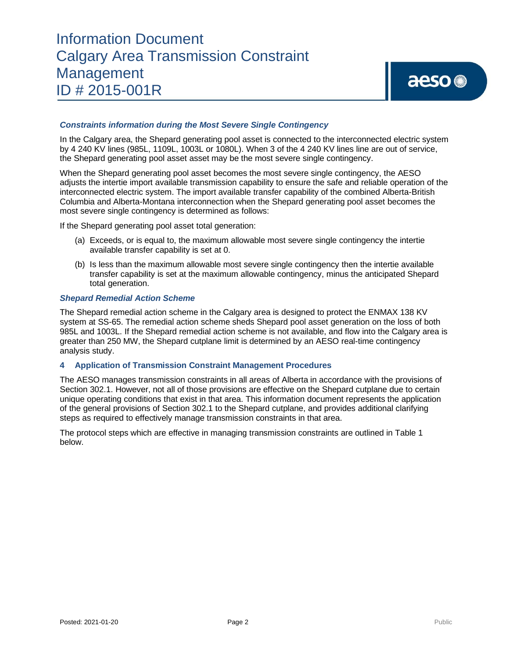#### *Constraints information during the Most Severe Single Contingency*

In the Calgary area, the Shepard generating pool asset is connected to the interconnected electric system by 4 240 KV lines (985L, 1109L, 1003L or 1080L). When 3 of the 4 240 KV lines line are out of service, the Shepard generating pool asset asset may be the most severe single contingency.

When the Shepard generating pool asset becomes the most severe single contingency, the AESO adjusts the intertie import available transmission capability to ensure the safe and reliable operation of the interconnected electric system. The import available transfer capability of the combined Alberta-British Columbia and Alberta-Montana interconnection when the Shepard generating pool asset becomes the most severe single contingency is determined as follows:

If the Shepard generating pool asset total generation:

- (a) Exceeds, or is equal to, the maximum allowable most severe single contingency the intertie available transfer capability is set at 0.
- (b) Is less than the maximum allowable most severe single contingency then the intertie available transfer capability is set at the maximum allowable contingency, minus the anticipated Shepard total generation.

#### *Shepard Remedial Action Scheme*

The Shepard remedial action scheme in the Calgary area is designed to protect the ENMAX 138 KV system at SS-65. The remedial action scheme sheds Shepard pool asset generation on the loss of both 985L and 1003L. If the Shepard remedial action scheme is not available, and flow into the Calgary area is greater than 250 MW, the Shepard cutplane limit is determined by an AESO real-time contingency analysis study.

### **4 Application of Transmission Constraint Management Procedures**

The AESO manages transmission constraints in all areas of Alberta in accordance with the provisions of Section 302.1. However, not all of those provisions are effective on the Shepard cutplane due to certain unique operating conditions that exist in that area. This information document represents the application of the general provisions of Section 302.1 to the Shepard cutplane, and provides additional clarifying steps as required to effectively manage transmission constraints in that area.

The protocol steps which are effective in managing transmission constraints are outlined in Table 1 below.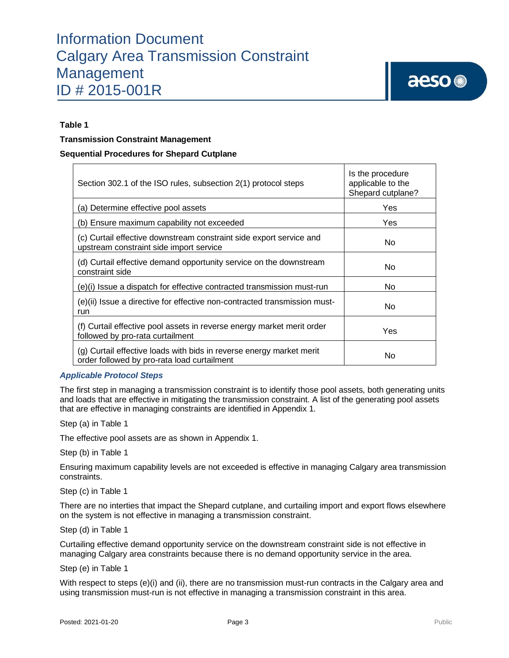### **Table 1**

#### **Transmission Constraint Management**

#### **Sequential Procedures for Shepard Cutplane**

| Section 302.1 of the ISO rules, subsection 2(1) protocol steps                                                      | Is the procedure<br>applicable to the<br>Shepard cutplane? |
|---------------------------------------------------------------------------------------------------------------------|------------------------------------------------------------|
| (a) Determine effective pool assets                                                                                 | Yes                                                        |
| (b) Ensure maximum capability not exceeded                                                                          | Yes                                                        |
| (c) Curtail effective downstream constraint side export service and<br>upstream constraint side import service      | No                                                         |
| (d) Curtail effective demand opportunity service on the downstream<br>constraint side                               | No                                                         |
| (e)(i) Issue a dispatch for effective contracted transmission must-run                                              | No                                                         |
| (e)(ii) Issue a directive for effective non-contracted transmission must-<br>run                                    | No                                                         |
| (f) Curtail effective pool assets in reverse energy market merit order<br>followed by pro-rata curtailment          | Yes                                                        |
| (g) Curtail effective loads with bids in reverse energy market merit<br>order followed by pro-rata load curtailment | No                                                         |

#### *Applicable Protocol Steps*

The first step in managing a transmission constraint is to identify those pool assets, both generating units and loads that are effective in mitigating the transmission constraint. A list of the generating pool assets that are effective in managing constraints are identified in Appendix 1*.* 

Step (a) in Table 1

The effective pool assets are as shown in Appendix 1.

Step (b) in Table 1

Ensuring maximum capability levels are not exceeded is effective in managing Calgary area transmission constraints.

Step (c) in Table 1

There are no interties that impact the Shepard cutplane, and curtailing import and export flows elsewhere on the system is not effective in managing a transmission constraint.

Step (d) in Table 1

Curtailing effective demand opportunity service on the downstream constraint side is not effective in managing Calgary area constraints because there is no demand opportunity service in the area.

Step (e) in Table 1

With respect to steps (e)(i) and (ii), there are no transmission must-run contracts in the Calgary area and using transmission must-run is not effective in managing a transmission constraint in this area.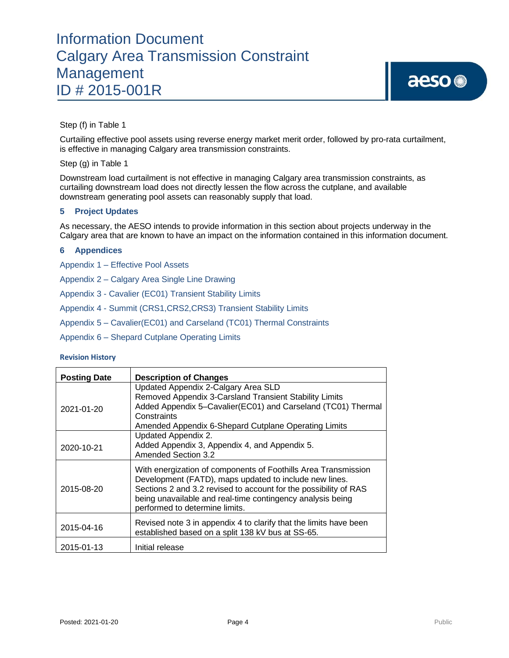

Step (f) in Table 1

Curtailing effective pool assets using reverse energy market merit order, followed by pro-rata curtailment, is effective in managing Calgary area transmission constraints.

Step (g) in Table 1

Downstream load curtailment is not effective in managing Calgary area transmission constraints, as curtailing downstream load does not directly lessen the flow across the cutplane, and available downstream generating pool assets can reasonably supply that load.

### **5 Project Updates**

As necessary, the AESO intends to provide information in this section about projects underway in the Calgary area that are known to have an impact on the information contained in this information document.

#### **6 Appendices**

Appendix 1 – Effective Pool Assets

Appendix 2 – Calgary Area Single Line Drawing

Appendix 3 - Cavalier (EC01) Transient Stability Limits

Appendix 4 - Summit (CRS1,CRS2,CRS3) Transient Stability Limits

Appendix 5 – Cavalier(EC01) and Carseland (TC01) Thermal Constraints

Appendix 6 – Shepard Cutplane Operating Limits

#### **Revision History**

| <b>Posting Date</b> | <b>Description of Changes</b>                                                                                                                                                                                                                                                                |
|---------------------|----------------------------------------------------------------------------------------------------------------------------------------------------------------------------------------------------------------------------------------------------------------------------------------------|
| 2021-01-20          | Updated Appendix 2-Calgary Area SLD<br>Removed Appendix 3-Carsland Transient Stability Limits<br>Added Appendix 5-Cavalier(EC01) and Carseland (TC01) Thermal<br>Constraints<br>Amended Appendix 6-Shepard Cutplane Operating Limits                                                         |
| 2020-10-21          | Updated Appendix 2.<br>Added Appendix 3, Appendix 4, and Appendix 5.<br><b>Amended Section 3.2</b>                                                                                                                                                                                           |
| 2015-08-20          | With energization of components of Foothills Area Transmission<br>Development (FATD), maps updated to include new lines.<br>Sections 2 and 3.2 revised to account for the possibility of RAS<br>being unavailable and real-time contingency analysis being<br>performed to determine limits. |
| 2015-04-16          | Revised note 3 in appendix 4 to clarify that the limits have been<br>established based on a split 138 kV bus at SS-65.                                                                                                                                                                       |
| 2015-01-13          | Initial release                                                                                                                                                                                                                                                                              |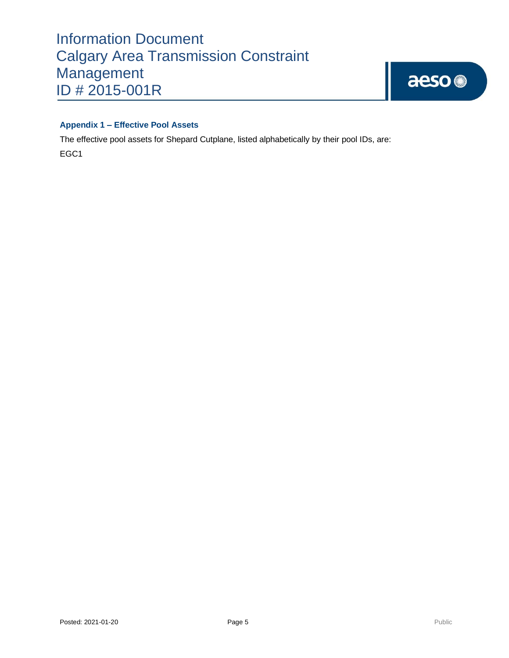

# **Appendix 1 – Effective Pool Assets**

The effective pool assets for Shepard Cutplane, listed alphabetically by their pool IDs, are:

EGC1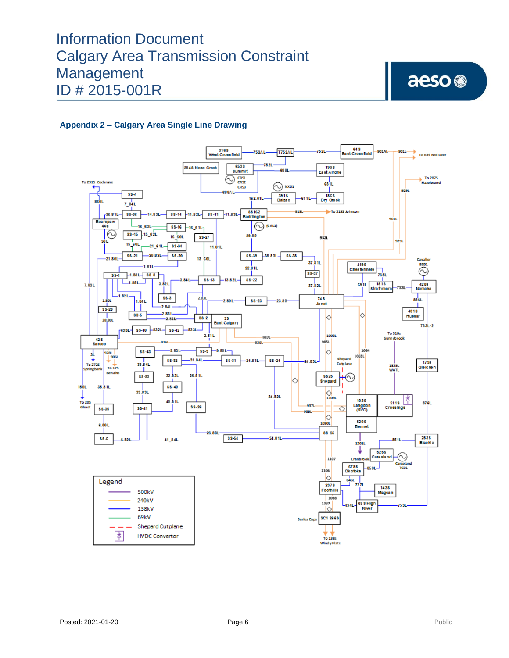aeso<sup>®</sup>

# **Appendix 2 – Calgary Area Single Line Drawing**

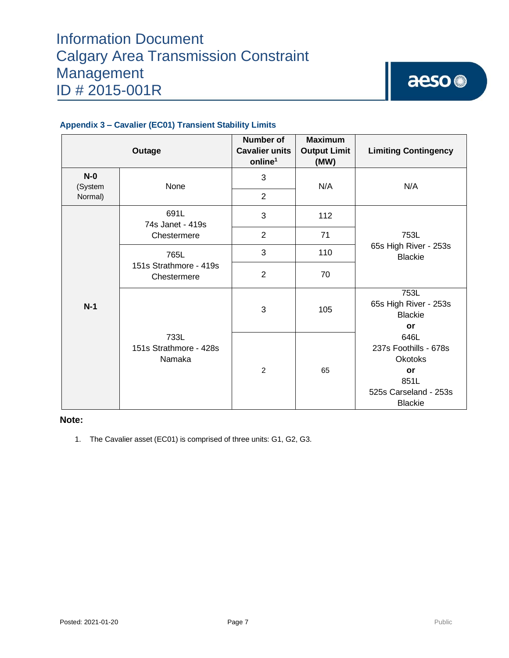

| Outage           |                                               | <b>Number of</b><br><b>Cavalier units</b><br>online <sup>1</sup> | <b>Maximum</b><br><b>Output Limit</b><br>(MW) | <b>Limiting Contingency</b>                                                                                                                                       |
|------------------|-----------------------------------------------|------------------------------------------------------------------|-----------------------------------------------|-------------------------------------------------------------------------------------------------------------------------------------------------------------------|
| $N-0$<br>(System | None                                          | 3                                                                | N/A                                           | N/A                                                                                                                                                               |
| Normal)          |                                               | $\overline{2}$                                                   |                                               |                                                                                                                                                                   |
| $N-1$            | 691L<br>74s Janet - 419s                      | 3                                                                | 112                                           |                                                                                                                                                                   |
|                  | Chestermere                                   | 2                                                                | 71                                            | 753L                                                                                                                                                              |
|                  | 765L<br>151s Strathmore - 419s<br>Chestermere | 3                                                                | 110                                           | 65s High River - 253s<br><b>Blackie</b>                                                                                                                           |
|                  |                                               | $\overline{2}$                                                   | 70                                            |                                                                                                                                                                   |
|                  |                                               | 3                                                                | 105                                           | 753L<br>65s High River - 253s<br><b>Blackie</b><br>or<br>646L<br>237s Foothills - 678s<br><b>Okotoks</b><br>or<br>851L<br>525s Carseland - 253s<br><b>Blackie</b> |
|                  | 733L<br>151s Strathmore - 428s<br>Namaka      | $\overline{c}$                                                   | 65                                            |                                                                                                                                                                   |

# **Appendix 3 – Cavalier (EC01) Transient Stability Limits**

#### **Note:**

1. The Cavalier asset (EC01) is comprised of three units: G1, G2, G3.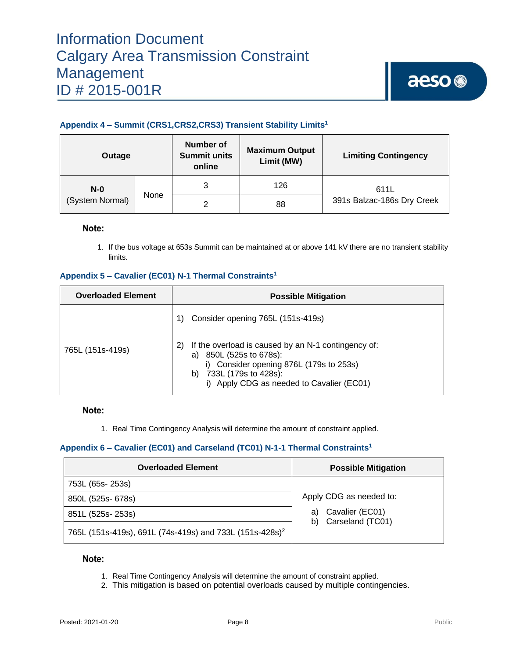# **Appendix 4 – Summit (CRS1,CRS2,CRS3) Transient Stability Limits<sup>1</sup>**

| Outage          |      | Number of<br><b>Summit units</b><br>online | <b>Maximum Output</b><br>Limit (MW) | <b>Limiting Contingency</b> |
|-----------------|------|--------------------------------------------|-------------------------------------|-----------------------------|
| $N-0$           |      | 3                                          | 126                                 | 611L                        |
| (System Normal) | None | ⌒                                          | 88                                  | 391s Balzac-186s Dry Creek  |

### Note:

1. If the bus voltage at 653s Summit can be maintained at or above 141 kV there are no transient stability limits.

# **Appendix 5 – Cavalier (EC01) N-1 Thermal Constraints<sup>1</sup>**

| <b>Overloaded Element</b> | <b>Possible Mitigation</b>                                                                                                                                                                                    |  |  |
|---------------------------|---------------------------------------------------------------------------------------------------------------------------------------------------------------------------------------------------------------|--|--|
|                           | Consider opening 765L (151s-419s)                                                                                                                                                                             |  |  |
| 765L (151s-419s)          | If the overload is caused by an N-1 contingency of:<br>2)<br>850L (525s to 678s):<br>a)<br>i) Consider opening 876L (179s to 253s)<br>733L (179s to 428s):<br>b)<br>i) Apply CDG as needed to Cavalier (EC01) |  |  |

Note:

1. Real Time Contingency Analysis will determine the amount of constraint applied.

# **Appendix 6 – Cavalier (EC01) and Carseland (TC01) N-1-1 Thermal Constraints<sup>1</sup>**

| <b>Overloaded Element</b>                                           | <b>Possible Mitigation</b>                      |  |
|---------------------------------------------------------------------|-------------------------------------------------|--|
| 753L (65s-253s)                                                     |                                                 |  |
| 850L (525s- 678s)                                                   | Apply CDG as needed to:                         |  |
| 851L (525s-253s)                                                    | Cavalier (EC01)<br>a)<br>Carseland (TC01)<br>b) |  |
| 765L (151s-419s), 691L (74s-419s) and 733L (151s-428s) <sup>2</sup> |                                                 |  |

### Note:

- 1. Real Time Contingency Analysis will determine the amount of constraint applied.
- 2. This mitigation is based on potential overloads caused by multiple contingencies.